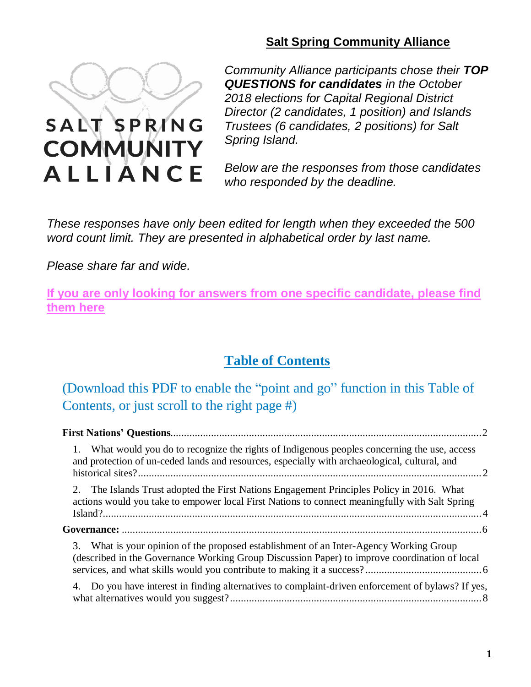

**COMMUNITY** 

**ALLIANCE** 

# **Salt Spring Community Alliance**

*Community Alliance participants chose their TOP QUESTIONS for candidates in the October 2018 elections for Capital Regional District Director (2 candidates, 1 position) and Islands Trustees (6 candidates, 2 positions) for Salt Spring Island.*

*Below are the responses from those candidates who responded by the deadline.*

*These responses have only been edited for length when they exceeded the 500 word count limit. They are presented in alphabetical order by last name.*

*Please share far and wide.*

**If you are only looking for answers from one specific [candidate,](https://drive.google.com/file/d/18ZSGedhnx_HHn0JYkEZ6sBlwPL2K3mIJ/view?usp=sharing) please find [them](https://drive.google.com/file/d/18ZSGedhnx_HHn0JYkEZ6sBlwPL2K3mIJ/view?usp=sharing) here**

# **Table of Contents**

(Download this PDF to enable the "point and go" function in this Table of Contents, or just scroll to the right page #)

| 1. What would you do to recognize the rights of Indigenous peoples concerning the use, access<br>and protection of un-ceded lands and resources, especially with archaeological, cultural, and |  |
|------------------------------------------------------------------------------------------------------------------------------------------------------------------------------------------------|--|
| 2. The Islands Trust adopted the First Nations Engagement Principles Policy in 2016. What<br>actions would you take to empower local First Nations to connect meaningfully with Salt Spring    |  |
|                                                                                                                                                                                                |  |
| 3. What is your opinion of the proposed establishment of an Inter-Agency Working Group<br>(described in the Governance Working Group Discussion Paper) to improve coordination of local        |  |
| 4. Do you have interest in finding alternatives to complaint-driven enforcement of bylaws? If yes,                                                                                             |  |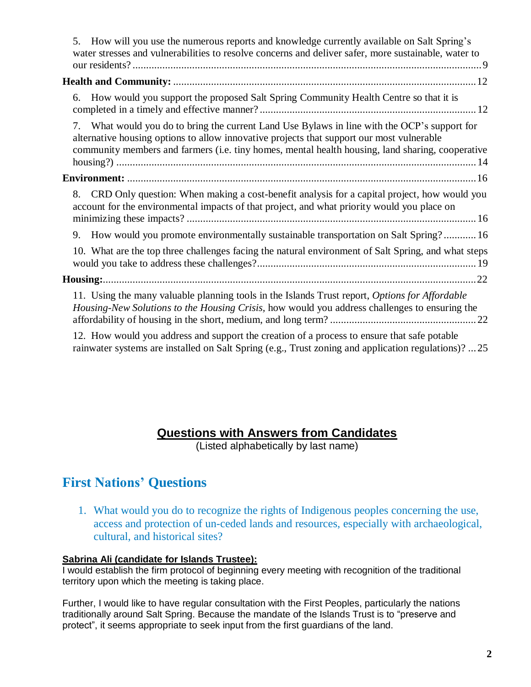| 5. How will you use the numerous reports and knowledge currently available on Salt Spring's<br>water stresses and vulnerabilities to resolve concerns and deliver safer, more sustainable, water to                                                                                           |  |
|-----------------------------------------------------------------------------------------------------------------------------------------------------------------------------------------------------------------------------------------------------------------------------------------------|--|
|                                                                                                                                                                                                                                                                                               |  |
| How would you support the proposed Salt Spring Community Health Centre so that it is<br>6.                                                                                                                                                                                                    |  |
| 7. What would you do to bring the current Land Use Bylaws in line with the OCP's support for<br>alternative housing options to allow innovative projects that support our most vulnerable<br>community members and farmers (i.e. tiny homes, mental health housing, land sharing, cooperative |  |
|                                                                                                                                                                                                                                                                                               |  |
| 8. CRD Only question: When making a cost-benefit analysis for a capital project, how would you<br>account for the environmental impacts of that project, and what priority would you place on                                                                                                 |  |
| 9. How would you promote environmentally sustainable transportation on Salt Spring?16                                                                                                                                                                                                         |  |
| 10. What are the top three challenges facing the natural environment of Salt Spring, and what steps                                                                                                                                                                                           |  |
|                                                                                                                                                                                                                                                                                               |  |
| 11. Using the many valuable planning tools in the Islands Trust report, Options for Affordable<br>Housing-New Solutions to the Housing Crisis, how would you address challenges to ensuring the                                                                                               |  |
| 12. How would you address and support the creation of a process to ensure that safe potable<br>rainwater systems are installed on Salt Spring (e.g., Trust zoning and application regulations)?  25                                                                                           |  |

# **Questions with Answers from Candidates**

(Listed alphabetically by last name)

# <span id="page-1-0"></span>**First Nations' Questions**

<span id="page-1-1"></span>1. What would you do to recognize the rights of Indigenous peoples concerning the use, access and protection of un-ceded lands and resources, especially with archaeological, cultural, and historical sites?

# **Sabrina Ali (candidate for Islands Trustee):**

I would establish the firm protocol of beginning every meeting with recognition of the traditional territory upon which the meeting is taking place.

Further, I would like to have regular consultation with the First Peoples, particularly the nations traditionally around Salt Spring. Because the mandate of the Islands Trust is to "preserve and protect", it seems appropriate to seek input from the first guardians of the land.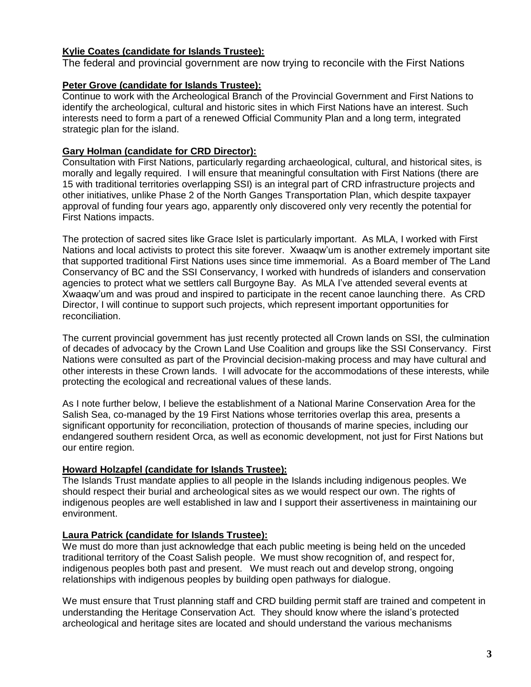# **Kylie Coates (candidate for Islands Trustee):**

The federal and provincial government are now trying to reconcile with the First Nations

# **Peter Grove (candidate for Islands Trustee):**

Continue to work with the Archeological Branch of the Provincial Government and First Nations to identify the archeological, cultural and historic sites in which First Nations have an interest. Such interests need to form a part of a renewed Official Community Plan and a long term, integrated strategic plan for the island.

# **Gary Holman (candidate for CRD Director):**

Consultation with First Nations, particularly regarding archaeological, cultural, and historical sites, is morally and legally required. I will ensure that meaningful consultation with First Nations (there are 15 with traditional territories overlapping SSI) is an integral part of CRD infrastructure projects and other initiatives, unlike Phase 2 of the North Ganges Transportation Plan, which despite taxpayer approval of funding four years ago, apparently only discovered only very recently the potential for First Nations impacts.

The protection of sacred sites like Grace Islet is particularly important. As MLA, I worked with First Nations and local activists to protect this site forever. Xwaaqw'um is another extremely important site that supported traditional First Nations uses since time immemorial. As a Board member of The Land Conservancy of BC and the SSI Conservancy, I worked with hundreds of islanders and conservation agencies to protect what we settlers call Burgoyne Bay. As MLA I've attended several events at Xwaaqw'um and was proud and inspired to participate in the recent canoe launching there. As CRD Director, I will continue to support such projects, which represent important opportunities for reconciliation.

The current provincial government has just recently protected all Crown lands on SSI, the culmination of decades of advocacy by the Crown Land Use Coalition and groups like the SSI Conservancy. First Nations were consulted as part of the Provincial decision-making process and may have cultural and other interests in these Crown lands. I will advocate for the accommodations of these interests, while protecting the ecological and recreational values of these lands.

As I note further below, I believe the establishment of a National Marine Conservation Area for the Salish Sea, co-managed by the 19 First Nations whose territories overlap this area, presents a significant opportunity for reconciliation, protection of thousands of marine species, including our endangered southern resident Orca, as well as economic development, not just for First Nations but our entire region.

# **Howard Holzapfel (candidate for Islands Trustee):**

The Islands Trust mandate applies to all people in the Islands including indigenous peoples. We should respect their burial and archeological sites as we would respect our own. The rights of indigenous peoples are well established in law and I support their assertiveness in maintaining our environment.

# **Laura Patrick (candidate for Islands Trustee):**

We must do more than just acknowledge that each public meeting is being held on the unceded traditional territory of the Coast Salish people. We must show recognition of, and respect for, indigenous peoples both past and present. We must reach out and develop strong, ongoing relationships with indigenous peoples by building open pathways for dialogue.

We must ensure that Trust planning staff and CRD building permit staff are trained and competent in understanding the Heritage Conservation Act. They should know where the island's protected archeological and heritage sites are located and should understand the various mechanisms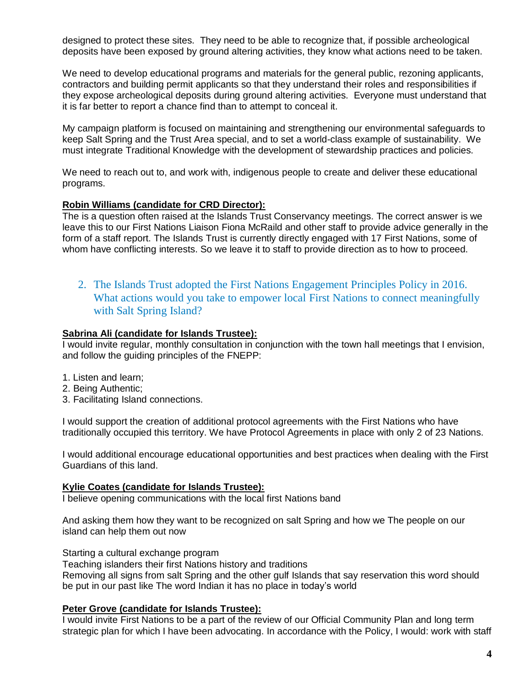designed to protect these sites. They need to be able to recognize that, if possible archeological deposits have been exposed by ground altering activities, they know what actions need to be taken.

We need to develop educational programs and materials for the general public, rezoning applicants, contractors and building permit applicants so that they understand their roles and responsibilities if they expose archeological deposits during ground altering activities. Everyone must understand that it is far better to report a chance find than to attempt to conceal it.

My campaign platform is focused on maintaining and strengthening our environmental safeguards to keep Salt Spring and the Trust Area special, and to set a world-class example of sustainability. We must integrate Traditional Knowledge with the development of stewardship practices and policies.

We need to reach out to, and work with, indigenous people to create and deliver these educational programs.

#### **Robin Williams (candidate for CRD Director):**

The is a question often raised at the Islands Trust Conservancy meetings. The correct answer is we leave this to our First Nations Liaison Fiona McRaild and other staff to provide advice generally in the form of a staff report. The Islands Trust is currently directly engaged with 17 First Nations, some of whom have conflicting interests. So we leave it to staff to provide direction as to how to proceed.

<span id="page-3-0"></span>2. The Islands Trust adopted the First Nations Engagement Principles Policy in 2016. What actions would you take to empower local First Nations to connect meaningfully with Salt Spring Island?

#### **Sabrina Ali (candidate for Islands Trustee):**

I would invite regular, monthly consultation in conjunction with the town hall meetings that I envision, and follow the guiding principles of the FNEPP:

- 1. Listen and learn;
- 2. Being Authentic;
- 3. Facilitating Island connections.

I would support the creation of additional protocol agreements with the First Nations who have traditionally occupied this territory. We have Protocol Agreements in place with only 2 of 23 Nations.

I would additional encourage educational opportunities and best practices when dealing with the First Guardians of this land.

#### **Kylie Coates (candidate for Islands Trustee):**

I believe opening communications with the local first Nations band

And asking them how they want to be recognized on salt Spring and how we The people on our island can help them out now

Starting a cultural exchange program

Teaching islanders their first Nations history and traditions Removing all signs from salt Spring and the other gulf Islands that say reservation this word should be put in our past like The word Indian it has no place in today's world

#### **Peter Grove (candidate for Islands Trustee):**

I would invite First Nations to be a part of the review of our Official Community Plan and long term strategic plan for which I have been advocating. In accordance with the Policy, I would: work with staff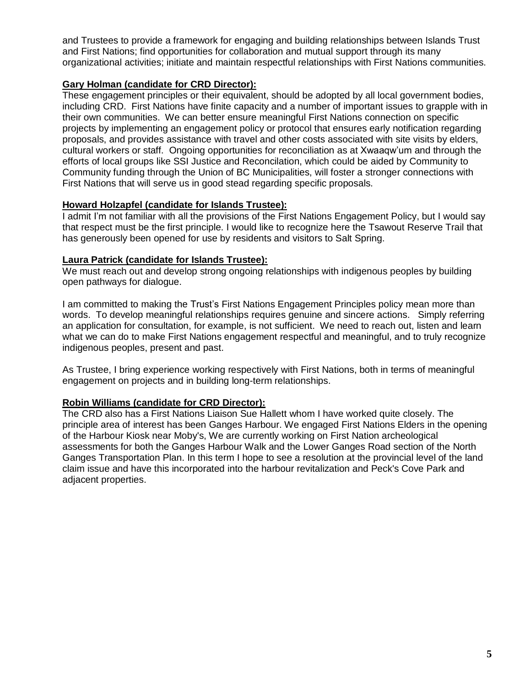and Trustees to provide a framework for engaging and building relationships between Islands Trust and First Nations; find opportunities for collaboration and mutual support through its many organizational activities; initiate and maintain respectful relationships with First Nations communities.

# **Gary Holman (candidate for CRD Director):**

These engagement principles or their equivalent, should be adopted by all local government bodies, including CRD. First Nations have finite capacity and a number of important issues to grapple with in their own communities. We can better ensure meaningful First Nations connection on specific projects by implementing an engagement policy or protocol that ensures early notification regarding proposals, and provides assistance with travel and other costs associated with site visits by elders, cultural workers or staff. Ongoing opportunities for reconciliation as at Xwaaqw'um and through the efforts of local groups like SSI Justice and Reconcilation, which could be aided by Community to Community funding through the Union of BC Municipalities, will foster a stronger connections with First Nations that will serve us in good stead regarding specific proposals.

# **Howard Holzapfel (candidate for Islands Trustee):**

I admit I'm not familiar with all the provisions of the First Nations Engagement Policy, but I would say that respect must be the first principle. I would like to recognize here the Tsawout Reserve Trail that has generously been opened for use by residents and visitors to Salt Spring.

# **Laura Patrick (candidate for Islands Trustee):**

We must reach out and develop strong ongoing relationships with indigenous peoples by building open pathways for dialogue.

I am committed to making the Trust's First Nations Engagement Principles policy mean more than words. To develop meaningful relationships requires genuine and sincere actions. Simply referring an application for consultation, for example, is not sufficient. We need to reach out, listen and learn what we can do to make First Nations engagement respectful and meaningful, and to truly recognize indigenous peoples, present and past.

As Trustee, I bring experience working respectively with First Nations, both in terms of meaningful engagement on projects and in building long-term relationships.

# **Robin Williams (candidate for CRD Director):**

The CRD also has a First Nations Liaison Sue Hallett whom I have worked quite closely. The principle area of interest has been Ganges Harbour. We engaged First Nations Elders in the opening of the Harbour Kiosk near Moby's, We are currently working on First Nation archeological assessments for both the Ganges Harbour Walk and the Lower Ganges Road section of the North Ganges Transportation Plan. In this term I hope to see a resolution at the provincial level of the land claim issue and have this incorporated into the harbour revitalization and Peck's Cove Park and adjacent properties.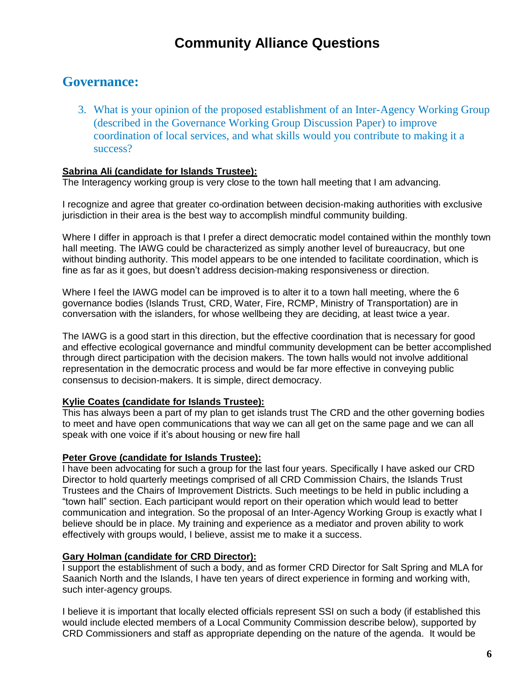# <span id="page-5-0"></span>**Governance:**

<span id="page-5-1"></span>3. What is your opinion of the proposed establishment of an Inter-Agency Working Group (described in the Governance Working Group Discussion Paper) to improve coordination of local services, and what skills would you contribute to making it a success?

# **Sabrina Ali (candidate for Islands Trustee):**

The Interagency working group is very close to the town hall meeting that I am advancing.

I recognize and agree that greater co-ordination between decision-making authorities with exclusive jurisdiction in their area is the best way to accomplish mindful community building.

Where I differ in approach is that I prefer a direct democratic model contained within the monthly town hall meeting. The IAWG could be characterized as simply another level of bureaucracy, but one without binding authority. This model appears to be one intended to facilitate coordination, which is fine as far as it goes, but doesn't address decision-making responsiveness or direction.

Where I feel the IAWG model can be improved is to alter it to a town hall meeting, where the 6 governance bodies (Islands Trust, CRD, Water, Fire, RCMP, Ministry of Transportation) are in conversation with the islanders, for whose wellbeing they are deciding, at least twice a year.

The IAWG is a good start in this direction, but the effective coordination that is necessary for good and effective ecological governance and mindful community development can be better accomplished through direct participation with the decision makers. The town halls would not involve additional representation in the democratic process and would be far more effective in conveying public consensus to decision-makers. It is simple, direct democracy.

# **Kylie Coates (candidate for Islands Trustee):**

This has always been a part of my plan to get islands trust The CRD and the other governing bodies to meet and have open communications that way we can all get on the same page and we can all speak with one voice if it's about housing or new fire hall

# **Peter Grove (candidate for Islands Trustee):**

I have been advocating for such a group for the last four years. Specifically I have asked our CRD Director to hold quarterly meetings comprised of all CRD Commission Chairs, the Islands Trust Trustees and the Chairs of Improvement Districts. Such meetings to be held in public including a "town hall" section. Each participant would report on their operation which would lead to better communication and integration. So the proposal of an Inter-Agency Working Group is exactly what I believe should be in place. My training and experience as a mediator and proven ability to work effectively with groups would, I believe, assist me to make it a success.

# **Gary Holman (candidate for CRD Director):**

I support the establishment of such a body, and as former CRD Director for Salt Spring and MLA for Saanich North and the Islands, I have ten years of direct experience in forming and working with, such inter-agency groups.

I believe it is important that locally elected officials represent SSI on such a body (if established this would include elected members of a Local Community Commission describe below), supported by CRD Commissioners and staff as appropriate depending on the nature of the agenda. It would be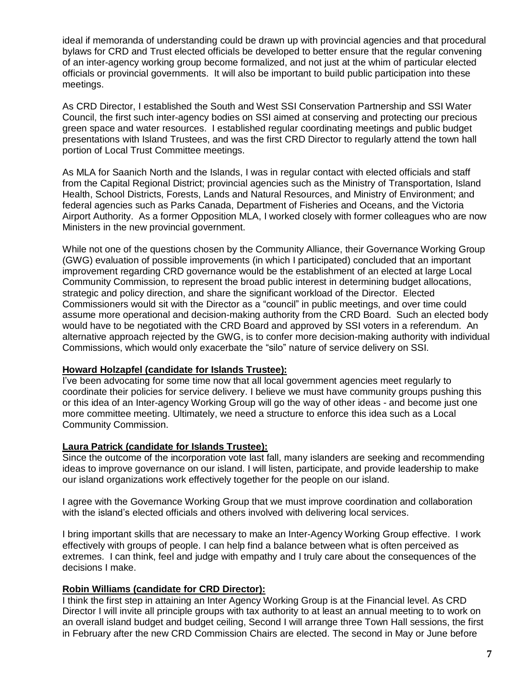ideal if memoranda of understanding could be drawn up with provincial agencies and that procedural bylaws for CRD and Trust elected officials be developed to better ensure that the regular convening of an inter-agency working group become formalized, and not just at the whim of particular elected officials or provincial governments. It will also be important to build public participation into these meetings.

As CRD Director, I established the South and West SSI Conservation Partnership and SSI Water Council, the first such inter-agency bodies on SSI aimed at conserving and protecting our precious green space and water resources. I established regular coordinating meetings and public budget presentations with Island Trustees, and was the first CRD Director to regularly attend the town hall portion of Local Trust Committee meetings.

As MLA for Saanich North and the Islands, I was in regular contact with elected officials and staff from the Capital Regional District; provincial agencies such as the Ministry of Transportation, Island Health, School Districts, Forests, Lands and Natural Resources, and Ministry of Environment; and federal agencies such as Parks Canada, Department of Fisheries and Oceans, and the Victoria Airport Authority. As a former Opposition MLA, I worked closely with former colleagues who are now Ministers in the new provincial government.

While not one of the questions chosen by the Community Alliance, their Governance Working Group (GWG) evaluation of possible improvements (in which I participated) concluded that an important improvement regarding CRD governance would be the establishment of an elected at large Local Community Commission, to represent the broad public interest in determining budget allocations, strategic and policy direction, and share the significant workload of the Director. Elected Commissioners would sit with the Director as a "council" in public meetings, and over time could assume more operational and decision-making authority from the CRD Board. Such an elected body would have to be negotiated with the CRD Board and approved by SSI voters in a referendum. An alternative approach rejected by the GWG, is to confer more decision-making authority with individual Commissions, which would only exacerbate the "silo" nature of service delivery on SSI.

# **Howard Holzapfel (candidate for Islands Trustee):**

I've been advocating for some time now that all local government agencies meet regularly to coordinate their policies for service delivery. I believe we must have community groups pushing this or this idea of an Inter-agency Working Group will go the way of other ideas - and become just one more committee meeting. Ultimately, we need a structure to enforce this idea such as a Local Community Commission.

# **Laura Patrick (candidate for Islands Trustee):**

Since the outcome of the incorporation vote last fall, many islanders are seeking and recommending ideas to improve governance on our island. I will listen, participate, and provide leadership to make our island organizations work effectively together for the people on our island.

I agree with the Governance Working Group that we must improve coordination and collaboration with the island's elected officials and others involved with delivering local services.

I bring important skills that are necessary to make an Inter-Agency Working Group effective. I work effectively with groups of people. I can help find a balance between what is often perceived as extremes. I can think, feel and judge with empathy and I truly care about the consequences of the decisions I make.

# **Robin Williams (candidate for CRD Director):**

I think the first step in attaining an Inter Agency Working Group is at the Financial level. As CRD Director I will invite all principle groups with tax authority to at least an annual meeting to to work on an overall island budget and budget ceiling, Second I will arrange three Town Hall sessions, the first in February after the new CRD Commission Chairs are elected. The second in May or June before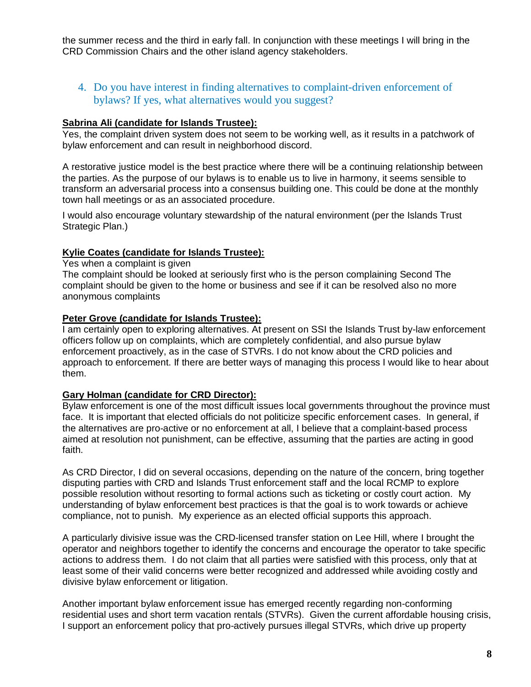the summer recess and the third in early fall. In conjunction with these meetings I will bring in the CRD Commission Chairs and the other island agency stakeholders.

# <span id="page-7-0"></span>4. Do you have interest in finding alternatives to complaint-driven enforcement of bylaws? If yes, what alternatives would you suggest?

# **Sabrina Ali (candidate for Islands Trustee):**

Yes, the complaint driven system does not seem to be working well, as it results in a patchwork of bylaw enforcement and can result in neighborhood discord.

A restorative justice model is the best practice where there will be a continuing relationship between the parties. As the purpose of our bylaws is to enable us to live in harmony, it seems sensible to transform an adversarial process into a consensus building one. This could be done at the monthly town hall meetings or as an associated procedure.

I would also encourage voluntary stewardship of the natural environment (per the Islands Trust Strategic Plan.)

#### **Kylie Coates (candidate for Islands Trustee):**

Yes when a complaint is given

The complaint should be looked at seriously first who is the person complaining Second The complaint should be given to the home or business and see if it can be resolved also no more anonymous complaints

#### **Peter Grove (candidate for Islands Trustee):**

I am certainly open to exploring alternatives. At present on SSI the Islands Trust by-law enforcement officers follow up on complaints, which are completely confidential, and also pursue bylaw enforcement proactively, as in the case of STVRs. I do not know about the CRD policies and approach to enforcement. If there are better ways of managing this process I would like to hear about them.

#### **Gary Holman (candidate for CRD Director):**

Bylaw enforcement is one of the most difficult issues local governments throughout the province must face. It is important that elected officials do not politicize specific enforcement cases. In general, if the alternatives are pro-active or no enforcement at all, I believe that a complaint-based process aimed at resolution not punishment, can be effective, assuming that the parties are acting in good faith.

As CRD Director, I did on several occasions, depending on the nature of the concern, bring together disputing parties with CRD and Islands Trust enforcement staff and the local RCMP to explore possible resolution without resorting to formal actions such as ticketing or costly court action. My understanding of bylaw enforcement best practices is that the goal is to work towards or achieve compliance, not to punish. My experience as an elected official supports this approach.

A particularly divisive issue was the CRD-licensed transfer station on Lee Hill, where I brought the operator and neighbors together to identify the concerns and encourage the operator to take specific actions to address them. I do not claim that all parties were satisfied with this process, only that at least some of their valid concerns were better recognized and addressed while avoiding costly and divisive bylaw enforcement or litigation.

Another important bylaw enforcement issue has emerged recently regarding non-conforming residential uses and short term vacation rentals (STVRs). Given the current affordable housing crisis, I support an enforcement policy that pro-actively pursues illegal STVRs, which drive up property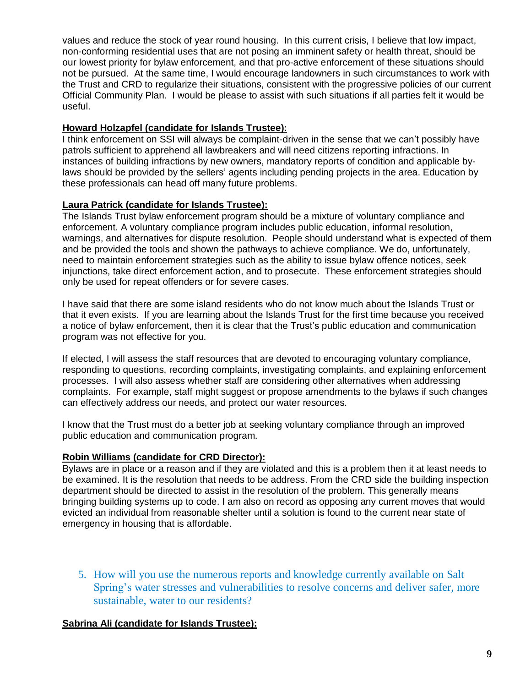values and reduce the stock of year round housing. In this current crisis, I believe that low impact, non-conforming residential uses that are not posing an imminent safety or health threat, should be our lowest priority for bylaw enforcement, and that pro-active enforcement of these situations should not be pursued. At the same time, I would encourage landowners in such circumstances to work with the Trust and CRD to regularize their situations, consistent with the progressive policies of our current Official Community Plan. I would be please to assist with such situations if all parties felt it would be useful.

# **Howard Holzapfel (candidate for Islands Trustee):**

I think enforcement on SSI will always be complaint-driven in the sense that we can't possibly have patrols sufficient to apprehend all lawbreakers and will need citizens reporting infractions. In instances of building infractions by new owners, mandatory reports of condition and applicable bylaws should be provided by the sellers' agents including pending projects in the area. Education by these professionals can head off many future problems.

# **Laura Patrick (candidate for Islands Trustee):**

The Islands Trust bylaw enforcement program should be a mixture of voluntary compliance and enforcement. A voluntary compliance program includes public education, informal resolution, warnings, and alternatives for dispute resolution. People should understand what is expected of them and be provided the tools and shown the pathways to achieve compliance. We do, unfortunately, need to maintain enforcement strategies such as the ability to issue bylaw offence notices, seek injunctions, take direct enforcement action, and to prosecute. These enforcement strategies should only be used for repeat offenders or for severe cases.

I have said that there are some island residents who do not know much about the Islands Trust or that it even exists. If you are learning about the Islands Trust for the first time because you received a notice of bylaw enforcement, then it is clear that the Trust's public education and communication program was not effective for you.

If elected, I will assess the staff resources that are devoted to encouraging voluntary compliance, responding to questions, recording complaints, investigating complaints, and explaining enforcement processes. I will also assess whether staff are considering other alternatives when addressing complaints. For example, staff might suggest or propose amendments to the bylaws if such changes can effectively address our needs, and protect our water resources.

I know that the Trust must do a better job at seeking voluntary compliance through an improved public education and communication program.

# **Robin Williams (candidate for CRD Director):**

Bylaws are in place or a reason and if they are violated and this is a problem then it at least needs to be examined. It is the resolution that needs to be address. From the CRD side the building inspection department should be directed to assist in the resolution of the problem. This generally means bringing building systems up to code. I am also on record as opposing any current moves that would evicted an individual from reasonable shelter until a solution is found to the current near state of emergency in housing that is affordable.

<span id="page-8-0"></span>5. How will you use the numerous reports and knowledge currently available on Salt Spring's water stresses and vulnerabilities to resolve concerns and deliver safer, more sustainable, water to our residents?

# **Sabrina Ali (candidate for Islands Trustee):**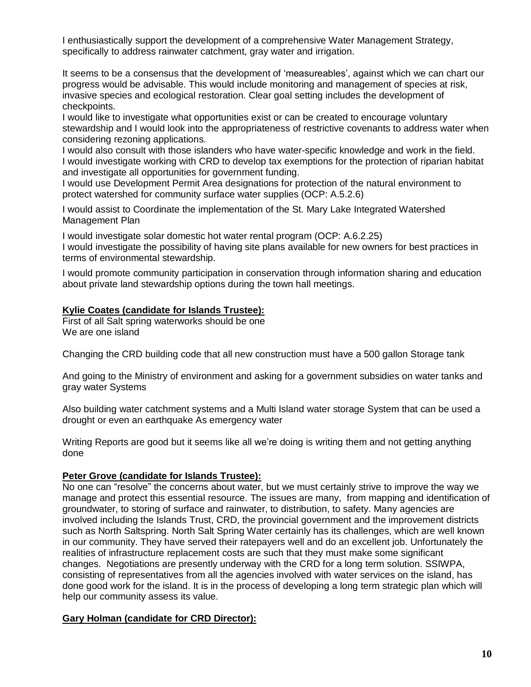I enthusiastically support the development of a comprehensive Water Management Strategy, specifically to address rainwater catchment, gray water and irrigation.

It seems to be a consensus that the development of 'measureables', against which we can chart our progress would be advisable. This would include monitoring and management of species at risk, invasive species and ecological restoration. Clear goal setting includes the development of checkpoints.

I would like to investigate what opportunities exist or can be created to encourage voluntary stewardship and I would look into the appropriateness of restrictive covenants to address water when considering rezoning applications.

I would also consult with those islanders who have water-specific knowledge and work in the field. I would investigate working with CRD to develop tax exemptions for the protection of riparian habitat and investigate all opportunities for government funding.

I would use Development Permit Area designations for protection of the natural environment to protect watershed for community surface water supplies (OCP: A.5.2.6)

I would assist to Coordinate the implementation of the St. Mary Lake Integrated Watershed Management Plan

I would investigate solar domestic hot water rental program (OCP: A.6.2.25)

I would investigate the possibility of having site plans available for new owners for best practices in terms of environmental stewardship.

I would promote community participation in conservation through information sharing and education about private land stewardship options during the town hall meetings.

# **Kylie Coates (candidate for Islands Trustee):**

First of all Salt spring waterworks should be one We are one island

Changing the CRD building code that all new construction must have a 500 gallon Storage tank

And going to the Ministry of environment and asking for a government subsidies on water tanks and gray water Systems

Also building water catchment systems and a Multi Island water storage System that can be used a drought or even an earthquake As emergency water

Writing Reports are good but it seems like all we're doing is writing them and not getting anything done

# **Peter Grove (candidate for Islands Trustee):**

No one can "resolve" the concerns about water, but we must certainly strive to improve the way we manage and protect this essential resource. The issues are many, from mapping and identification of groundwater, to storing of surface and rainwater, to distribution, to safety. Many agencies are involved including the Islands Trust, CRD, the provincial government and the improvement districts such as North Saltspring. North Salt Spring Water certainly has its challenges, which are well known in our community. They have served their ratepayers well and do an excellent job. Unfortunately the realities of infrastructure replacement costs are such that they must make some significant changes. Negotiations are presently underway with the CRD for a long term solution. SSIWPA, consisting of representatives from all the agencies involved with water services on the island, has done good work for the island. It is in the process of developing a long term strategic plan which will help our community assess its value.

# **Gary Holman (candidate for CRD Director):**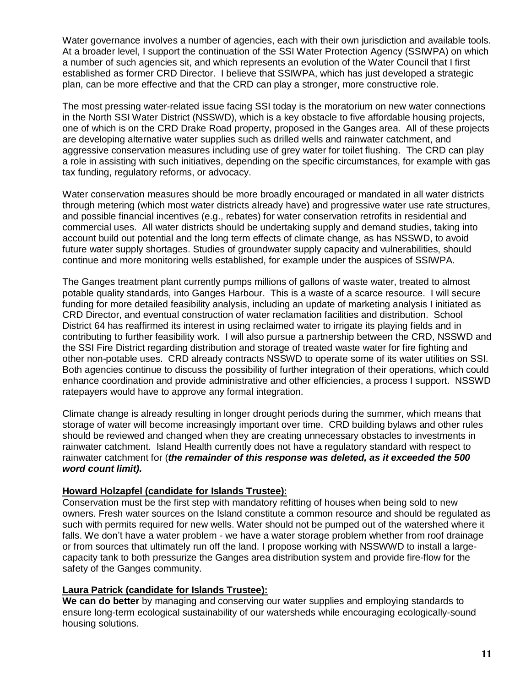Water governance involves a number of agencies, each with their own jurisdiction and available tools. At a broader level, I support the continuation of the SSI Water Protection Agency (SSIWPA) on which a number of such agencies sit, and which represents an evolution of the Water Council that I first established as former CRD Director. I believe that SSIWPA, which has just developed a strategic plan, can be more effective and that the CRD can play a stronger, more constructive role.

The most pressing water-related issue facing SSI today is the moratorium on new water connections in the North SSI Water District (NSSWD), which is a key obstacle to five affordable housing projects, one of which is on the CRD Drake Road property, proposed in the Ganges area. All of these projects are developing alternative water supplies such as drilled wells and rainwater catchment, and aggressive conservation measures including use of grey water for toilet flushing. The CRD can play a role in assisting with such initiatives, depending on the specific circumstances, for example with gas tax funding, regulatory reforms, or advocacy.

Water conservation measures should be more broadly encouraged or mandated in all water districts through metering (which most water districts already have) and progressive water use rate structures, and possible financial incentives (e.g., rebates) for water conservation retrofits in residential and commercial uses. All water districts should be undertaking supply and demand studies, taking into account build out potential and the long term effects of climate change, as has NSSWD, to avoid future water supply shortages. Studies of groundwater supply capacity and vulnerabilities, should continue and more monitoring wells established, for example under the auspices of SSIWPA.

The Ganges treatment plant currently pumps millions of gallons of waste water, treated to almost potable quality standards, into Ganges Harbour. This is a waste of a scarce resource. I will secure funding for more detailed feasibility analysis, including an update of marketing analysis I initiated as CRD Director, and eventual construction of water reclamation facilities and distribution. School District 64 has reaffirmed its interest in using reclaimed water to irrigate its playing fields and in contributing to further feasibility work. I will also pursue a partnership between the CRD, NSSWD and the SSI Fire District regarding distribution and storage of treated waste water for fire fighting and other non-potable uses. CRD already contracts NSSWD to operate some of its water utilities on SSI. Both agencies continue to discuss the possibility of further integration of their operations, which could enhance coordination and provide administrative and other efficiencies, a process I support. NSSWD ratepayers would have to approve any formal integration.

Climate change is already resulting in longer drought periods during the summer, which means that storage of water will become increasingly important over time. CRD building bylaws and other rules should be reviewed and changed when they are creating unnecessary obstacles to investments in rainwater catchment. Island Health currently does not have a regulatory standard with respect to rainwater catchment for (*the remainder of this response was deleted, as it exceeded the 500 word count limit).*

# **Howard Holzapfel (candidate for Islands Trustee):**

Conservation must be the first step with mandatory refitting of houses when being sold to new owners. Fresh water sources on the Island constitute a common resource and should be regulated as such with permits required for new wells. Water should not be pumped out of the watershed where it falls. We don't have a water problem - we have a water storage problem whether from roof drainage or from sources that ultimately run off the land. I propose working with NSSWWD to install a largecapacity tank to both pressurize the Ganges area distribution system and provide fire-flow for the safety of the Ganges community.

#### **Laura Patrick (candidate for Islands Trustee):**

**We can do better** by managing and conserving our water supplies and employing standards to ensure long-term ecological sustainability of our watersheds while encouraging ecologically-sound housing solutions.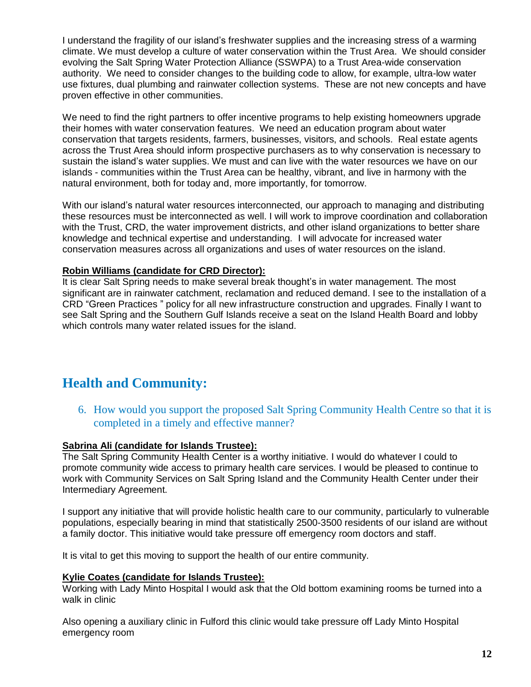I understand the fragility of our island's freshwater supplies and the increasing stress of a warming climate. We must develop a culture of water conservation within the Trust Area. We should consider evolving the Salt Spring Water Protection Alliance (SSWPA) to a Trust Area-wide conservation authority. We need to consider changes to the building code to allow, for example, ultra-low water use fixtures, dual plumbing and rainwater collection systems. These are not new concepts and have proven effective in other communities.

We need to find the right partners to offer incentive programs to help existing homeowners upgrade their homes with water conservation features. We need an education program about water conservation that targets residents, farmers, businesses, visitors, and schools. Real estate agents across the Trust Area should inform prospective purchasers as to why conservation is necessary to sustain the island's water supplies. We must and can live with the water resources we have on our islands - communities within the Trust Area can be healthy, vibrant, and live in harmony with the natural environment, both for today and, more importantly, for tomorrow.

With our island's natural water resources interconnected, our approach to managing and distributing these resources must be interconnected as well. I will work to improve coordination and collaboration with the Trust, CRD, the water improvement districts, and other island organizations to better share knowledge and technical expertise and understanding. I will advocate for increased water conservation measures across all organizations and uses of water resources on the island.

# **Robin Williams (candidate for CRD Director):**

It is clear Salt Spring needs to make several break thought's in water management. The most significant are in rainwater catchment, reclamation and reduced demand. I see to the installation of a CRD "Green Practices " policy for all new infrastructure construction and upgrades. Finally I want to see Salt Spring and the Southern Gulf Islands receive a seat on the Island Health Board and lobby which controls many water related issues for the island.

# <span id="page-11-0"></span>**Health and Community:**

<span id="page-11-1"></span>6. How would you support the proposed Salt Spring Community Health Centre so that it is completed in a timely and effective manner?

# **Sabrina Ali (candidate for Islands Trustee):**

The Salt Spring Community Health Center is a worthy initiative. I would do whatever I could to promote community wide access to primary health care services. I would be pleased to continue to work with Community Services on Salt Spring Island and the Community Health Center under their Intermediary Agreement.

I support any initiative that will provide holistic health care to our community, particularly to vulnerable populations, especially bearing in mind that statistically 2500-3500 residents of our island are without a family doctor. This initiative would take pressure off emergency room doctors and staff.

It is vital to get this moving to support the health of our entire community.

# **Kylie Coates (candidate for Islands Trustee):**

Working with Lady Minto Hospital I would ask that the Old bottom examining rooms be turned into a walk in clinic

Also opening a auxiliary clinic in Fulford this clinic would take pressure off Lady Minto Hospital emergency room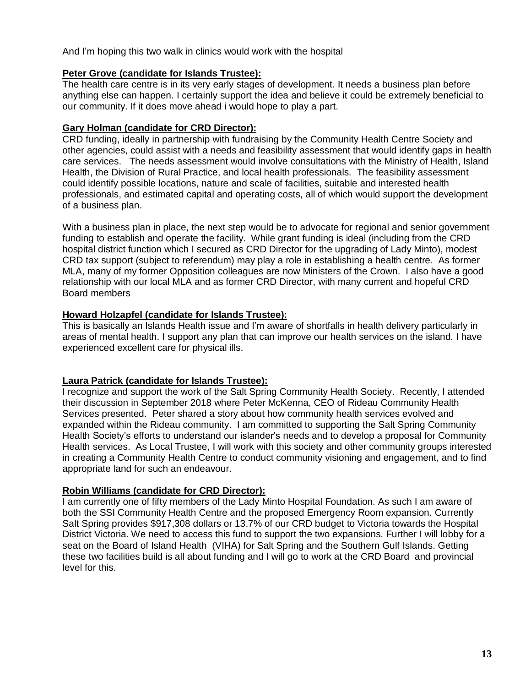And I'm hoping this two walk in clinics would work with the hospital

# **Peter Grove (candidate for Islands Trustee):**

The health care centre is in its very early stages of development. It needs a business plan before anything else can happen. I certainly support the idea and believe it could be extremely beneficial to our community. If it does move ahead i would hope to play a part.

# **Gary Holman (candidate for CRD Director):**

CRD funding, ideally in partnership with fundraising by the Community Health Centre Society and other agencies, could assist with a needs and feasibility assessment that would identify gaps in health care services. The needs assessment would involve consultations with the Ministry of Health, Island Health, the Division of Rural Practice, and local health professionals. The feasibility assessment could identify possible locations, nature and scale of facilities, suitable and interested health professionals, and estimated capital and operating costs, all of which would support the development of a business plan.

With a business plan in place, the next step would be to advocate for regional and senior government funding to establish and operate the facility. While grant funding is ideal (including from the CRD hospital district function which I secured as CRD Director for the upgrading of Lady Minto), modest CRD tax support (subject to referendum) may play a role in establishing a health centre. As former MLA, many of my former Opposition colleagues are now Ministers of the Crown. I also have a good relationship with our local MLA and as former CRD Director, with many current and hopeful CRD Board members

# **Howard Holzapfel (candidate for Islands Trustee):**

This is basically an Islands Health issue and I'm aware of shortfalls in health delivery particularly in areas of mental health. I support any plan that can improve our health services on the island. I have experienced excellent care for physical ills.

# **Laura Patrick (candidate for Islands Trustee):**

I recognize and support the work of the Salt Spring Community Health Society. Recently, I attended their discussion in September 2018 where Peter McKenna, CEO of Rideau Community Health Services presented. Peter shared a story about how community health services evolved and expanded within the Rideau community. I am committed to supporting the Salt Spring Community Health Society's efforts to understand our islander's needs and to develop a proposal for Community Health services. As Local Trustee, I will work with this society and other community groups interested in creating a Community Health Centre to conduct community visioning and engagement, and to find appropriate land for such an endeavour.

# **Robin Williams (candidate for CRD Director):**

I am currently one of fifty members of the Lady Minto Hospital Foundation. As such I am aware of both the SSI Community Health Centre and the proposed Emergency Room expansion. Currently Salt Spring provides \$917,308 dollars or 13.7% of our CRD budget to Victoria towards the Hospital District Victoria. We need to access this fund to support the two expansions. Further I will lobby for a seat on the Board of Island Health (VIHA) for Salt Spring and the Southern Gulf Islands. Getting these two facilities build is all about funding and I will go to work at the CRD Board and provincial level for this.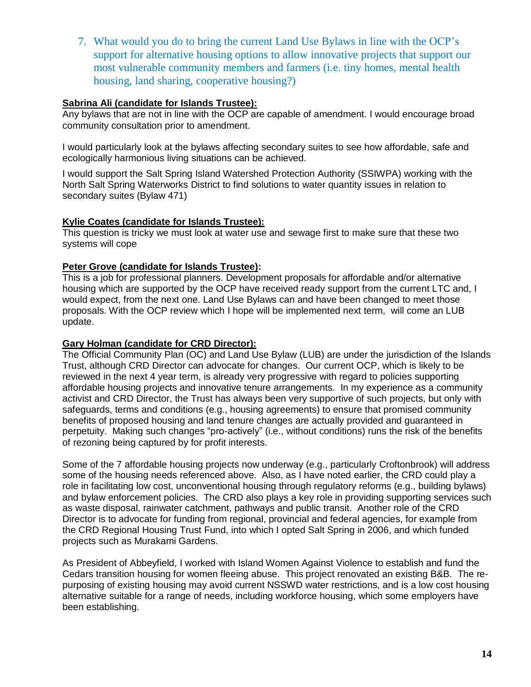<span id="page-13-0"></span>7. What would you do to bring the current Land Use Bylaws in line with the OCP's support for alternative housing options to allow innovative projects that support our most vulnerable community members and farmers (i.e. tiny homes, mental health housing, land sharing, cooperative housing?)

# **Sabrina Ali (candidate for Islands Trustee):**

Any bylaws that are not in line with the OCP are capable of amendment. I would encourage broad community consultation prior to amendment.

I would particularly look at the bylaws affecting secondary suites to see how affordable, safe and ecologically harmonious living situations can be achieved.

I would support the Salt Spring Island Watershed Protection Authority (SSIWPA) working with the North Salt Spring Waterworks District to find solutions to water quantity issues in relation to secondary suites (Bylaw 471)

# **Kylie Coates (candidate for Islands Trustee):**

This question is tricky we must look at water use and sewage first to make sure that these two systems will cope

# **Peter Grove (candidate for Islands Trustee):**

This is a job for professional planners. Development proposals for affordable and/or alternative housing which are supported by the OCP have received ready support from the current LTC and, I would expect, from the next one. Land Use Bylaws can and have been changed to meet those proposals. With the OCP review which I hope will be implemented next term, will come an LUB update.

# **Gary Holman (candidate for CRD Director):**

The Official Community Plan (OC) and Land Use Bylaw (LUB) are under the jurisdiction of the Islands Trust, although CRD Director can advocate for changes. Our current OCP, which is likely to be reviewed in the next 4 year term, is already very progressive with regard to policies supporting affordable housing projects and innovative tenure arrangements. In my experience as a community activist and CRD Director, the Trust has always been very supportive of such projects, but only with safeguards, terms and conditions (e.g., housing agreements) to ensure that promised community benefits of proposed housing and land tenure changes are actually provided and guaranteed in perpetuity. Making such changes "pro-actively" (i.e., without conditions) runs the risk of the benefits of rezoning being captured by for profit interests.

Some of the 7 affordable housing projects now underway (e.g., particularly Croftonbrook) will address some of the housing needs referenced above. Also, as I have noted earlier, the CRD could play a role in facilitating low cost, unconventional housing through regulatory reforms (e.g., building bylaws) and bylaw enforcement policies. The CRD also plays a key role in providing supporting services such as waste disposal, rainwater catchment, pathways and public transit. Another role of the CRD Director is to advocate for funding from regional, provincial and federal agencies, for example from the CRD Regional Housing Trust Fund, into which I opted Salt Spring in 2006, and which funded projects such as Murakami Gardens.

As President of Abbeyfield, I worked with Island Women Against Violence to establish and fund the Cedars transition housing for women fleeing abuse. This project renovated an existing B&B. The repurposing of existing housing may avoid current NSSWD water restrictions, and is a low cost housing alternative suitable for a range of needs, including workforce housing, which some employers have been establishing.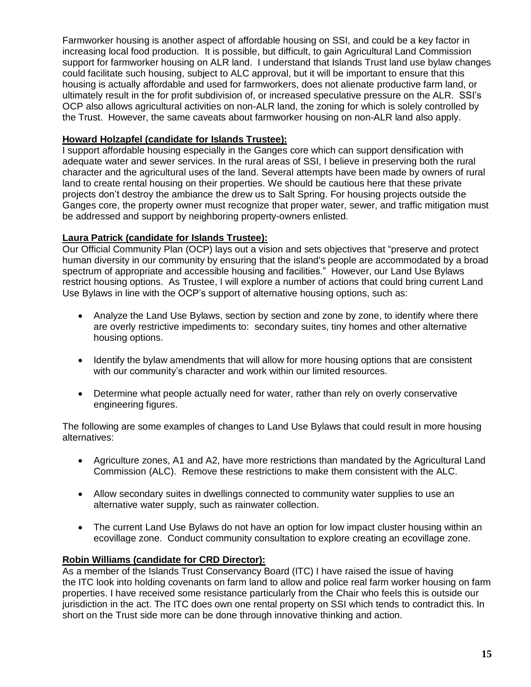Farmworker housing is another aspect of affordable housing on SSI, and could be a key factor in increasing local food production. It is possible, but difficult, to gain Agricultural Land Commission support for farmworker housing on ALR land. I understand that Islands Trust land use bylaw changes could facilitate such housing, subject to ALC approval, but it will be important to ensure that this housing is actually affordable and used for farmworkers, does not alienate productive farm land, or ultimately result in the for profit subdivision of, or increased speculative pressure on the ALR. SSI's OCP also allows agricultural activities on non-ALR land, the zoning for which is solely controlled by the Trust. However, the same caveats about farmworker housing on non-ALR land also apply.

# **Howard Holzapfel (candidate for Islands Trustee):**

I support affordable housing especially in the Ganges core which can support densification with adequate water and sewer services. In the rural areas of SSI, I believe in preserving both the rural character and the agricultural uses of the land. Several attempts have been made by owners of rural land to create rental housing on their properties. We should be cautious here that these private projects don't destroy the ambiance the drew us to Salt Spring. For housing projects outside the Ganges core, the property owner must recognize that proper water, sewer, and traffic mitigation must be addressed and support by neighboring property-owners enlisted.

# **Laura Patrick (candidate for Islands Trustee):**

Our Official Community Plan (OCP) lays out a vision and sets objectives that "preserve and protect human diversity in our community by ensuring that the island's people are accommodated by a broad spectrum of appropriate and accessible housing and facilities." However, our Land Use Bylaws restrict housing options. As Trustee, I will explore a number of actions that could bring current Land Use Bylaws in line with the OCP's support of alternative housing options, such as:

- Analyze the Land Use Bylaws, section by section and zone by zone, to identify where there are overly restrictive impediments to: secondary suites, tiny homes and other alternative housing options.
- Identify the bylaw amendments that will allow for more housing options that are consistent with our community's character and work within our limited resources.
- Determine what people actually need for water, rather than rely on overly conservative engineering figures.

The following are some examples of changes to Land Use Bylaws that could result in more housing alternatives:

- Agriculture zones, A1 and A2, have more restrictions than mandated by the Agricultural Land Commission (ALC). Remove these restrictions to make them consistent with the ALC.
- Allow secondary suites in dwellings connected to community water supplies to use an alternative water supply, such as rainwater collection.
- The current Land Use Bylaws do not have an option for low impact cluster housing within an ecovillage zone. Conduct community consultation to explore creating an ecovillage zone.

# **Robin Williams (candidate for CRD Director):**

As a member of the Islands Trust Conservancy Board (ITC) I have raised the issue of having the ITC look into holding covenants on farm land to allow and police real farm worker housing on farm properties. I have received some resistance particularly from the Chair who feels this is outside our jurisdiction in the act. The ITC does own one rental property on SSI which tends to contradict this. In short on the Trust side more can be done through innovative thinking and action.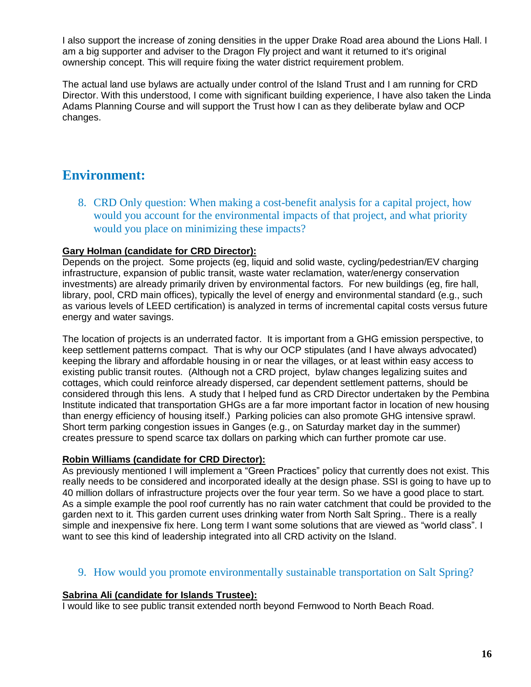I also support the increase of zoning densities in the upper Drake Road area abound the Lions Hall. I am a big supporter and adviser to the Dragon Fly project and want it returned to it's original ownership concept. This will require fixing the water district requirement problem.

The actual land use bylaws are actually under control of the Island Trust and I am running for CRD Director. With this understood, I come with significant building experience, I have also taken the Linda Adams Planning Course and will support the Trust how I can as they deliberate bylaw and OCP changes.

# <span id="page-15-0"></span>**Environment:**

<span id="page-15-1"></span>8. CRD Only question: When making a cost-benefit analysis for a capital project, how would you account for the environmental impacts of that project, and what priority would you place on minimizing these impacts?

# **Gary Holman (candidate for CRD Director):**

Depends on the project. Some projects (eg, liquid and solid waste, cycling/pedestrian/EV charging infrastructure, expansion of public transit, waste water reclamation, water/energy conservation investments) are already primarily driven by environmental factors. For new buildings (eg, fire hall, library, pool, CRD main offices), typically the level of energy and environmental standard (e.g., such as various levels of LEED certification) is analyzed in terms of incremental capital costs versus future energy and water savings.

The location of projects is an underrated factor. It is important from a GHG emission perspective, to keep settlement patterns compact. That is why our OCP stipulates (and I have always advocated) keeping the library and affordable housing in or near the villages, or at least within easy access to existing public transit routes. (Although not a CRD project, bylaw changes legalizing suites and cottages, which could reinforce already dispersed, car dependent settlement patterns, should be considered through this lens. A study that I helped fund as CRD Director undertaken by the Pembina Institute indicated that transportation GHGs are a far more important factor in location of new housing than energy efficiency of housing itself.) Parking policies can also promote GHG intensive sprawl. Short term parking congestion issues in Ganges (e.g., on Saturday market day in the summer) creates pressure to spend scarce tax dollars on parking which can further promote car use.

# **Robin Williams (candidate for CRD Director):**

As previously mentioned I will implement a "Green Practices" policy that currently does not exist. This really needs to be considered and incorporated ideally at the design phase. SSI is going to have up to 40 million dollars of infrastructure projects over the four year term. So we have a good place to start. As a simple example the pool roof currently has no rain water catchment that could be provided to the garden next to it. This garden current uses drinking water from North Salt Spring.. There is a really simple and inexpensive fix here. Long term I want some solutions that are viewed as "world class". I want to see this kind of leadership integrated into all CRD activity on the Island.

# <span id="page-15-2"></span>9. How would you promote environmentally sustainable transportation on Salt Spring?

# **Sabrina Ali (candidate for Islands Trustee):**

I would like to see public transit extended north beyond Fernwood to North Beach Road.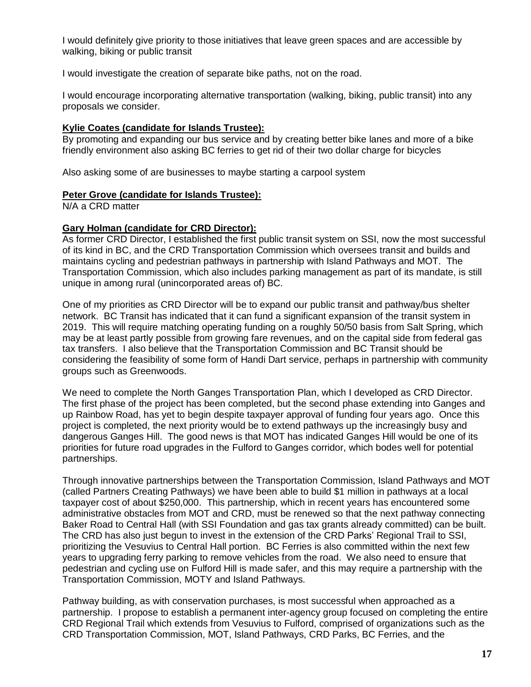I would definitely give priority to those initiatives that leave green spaces and are accessible by walking, biking or public transit

I would investigate the creation of separate bike paths, not on the road.

I would encourage incorporating alternative transportation (walking, biking, public transit) into any proposals we consider.

### **Kylie Coates (candidate for Islands Trustee):**

By promoting and expanding our bus service and by creating better bike lanes and more of a bike friendly environment also asking BC ferries to get rid of their two dollar charge for bicycles

Also asking some of are businesses to maybe starting a carpool system

#### **Peter Grove (candidate for Islands Trustee):**

N/A a CRD matter

#### **Gary Holman (candidate for CRD Director):**

As former CRD Director, I established the first public transit system on SSI, now the most successful of its kind in BC, and the CRD Transportation Commission which oversees transit and builds and maintains cycling and pedestrian pathways in partnership with Island Pathways and MOT. The Transportation Commission, which also includes parking management as part of its mandate, is still unique in among rural (unincorporated areas of) BC.

One of my priorities as CRD Director will be to expand our public transit and pathway/bus shelter network. BC Transit has indicated that it can fund a significant expansion of the transit system in 2019. This will require matching operating funding on a roughly 50/50 basis from Salt Spring, which may be at least partly possible from growing fare revenues, and on the capital side from federal gas tax transfers. I also believe that the Transportation Commission and BC Transit should be considering the feasibility of some form of Handi Dart service, perhaps in partnership with community groups such as Greenwoods.

We need to complete the North Ganges Transportation Plan, which I developed as CRD Director. The first phase of the project has been completed, but the second phase extending into Ganges and up Rainbow Road, has yet to begin despite taxpayer approval of funding four years ago. Once this project is completed, the next priority would be to extend pathways up the increasingly busy and dangerous Ganges Hill. The good news is that MOT has indicated Ganges Hill would be one of its priorities for future road upgrades in the Fulford to Ganges corridor, which bodes well for potential partnerships.

Through innovative partnerships between the Transportation Commission, Island Pathways and MOT (called Partners Creating Pathways) we have been able to build \$1 million in pathways at a local taxpayer cost of about \$250,000. This partnership, which in recent years has encountered some administrative obstacles from MOT and CRD, must be renewed so that the next pathway connecting Baker Road to Central Hall (with SSI Foundation and gas tax grants already committed) can be built. The CRD has also just begun to invest in the extension of the CRD Parks' Regional Trail to SSI, prioritizing the Vesuvius to Central Hall portion. BC Ferries is also committed within the next few years to upgrading ferry parking to remove vehicles from the road. We also need to ensure that pedestrian and cycling use on Fulford Hill is made safer, and this may require a partnership with the Transportation Commission, MOTY and Island Pathways.

Pathway building, as with conservation purchases, is most successful when approached as a partnership. I propose to establish a permanent inter-agency group focused on completing the entire CRD Regional Trail which extends from Vesuvius to Fulford, comprised of organizations such as the CRD Transportation Commission, MOT, Island Pathways, CRD Parks, BC Ferries, and the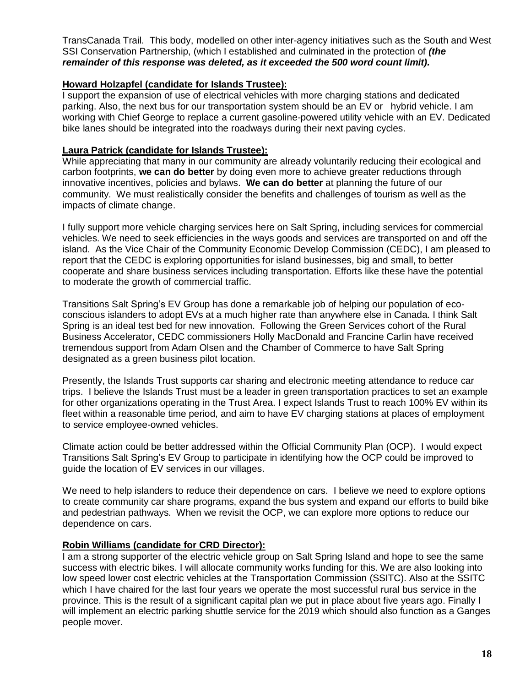TransCanada Trail. This body, modelled on other inter-agency initiatives such as the South and West SSI Conservation Partnership, (which I established and culminated in the protection of *(the remainder of this response was deleted, as it exceeded the 500 word count limit).*

### **Howard Holzapfel (candidate for Islands Trustee):**

I support the expansion of use of electrical vehicles with more charging stations and dedicated parking. Also, the next bus for our transportation system should be an EV or hybrid vehicle. I am working with Chief George to replace a current gasoline-powered utility vehicle with an EV. Dedicated bike lanes should be integrated into the roadways during their next paving cycles.

### **Laura Patrick (candidate for Islands Trustee):**

While appreciating that many in our community are already voluntarily reducing their ecological and carbon footprints, **we can do better** by doing even more to achieve greater reductions through innovative incentives, policies and bylaws. **We can do better** at planning the future of our community. We must realistically consider the benefits and challenges of tourism as well as the impacts of climate change.

I fully support more vehicle charging services here on Salt Spring, including services for commercial vehicles. We need to seek efficiencies in the ways goods and services are transported on and off the island. As the Vice Chair of the Community Economic Develop Commission (CEDC), I am pleased to report that the CEDC is exploring opportunities for island businesses, big and small, to better cooperate and share business services including transportation. Efforts like these have the potential to moderate the growth of commercial traffic.

Transitions Salt Spring's EV Group has done a remarkable job of helping our population of ecoconscious islanders to adopt EVs at a much higher rate than anywhere else in Canada. I think Salt Spring is an ideal test bed for new innovation. Following the Green Services cohort of the Rural Business Accelerator, CEDC commissioners Holly MacDonald and Francine Carlin have received tremendous support from Adam Olsen and the Chamber of Commerce to have Salt Spring designated as a green business pilot location.

Presently, the Islands Trust supports car sharing and electronic meeting attendance to reduce car trips. I believe the Islands Trust must be a leader in green transportation practices to set an example for other organizations operating in the Trust Area. I expect Islands Trust to reach 100% EV within its fleet within a reasonable time period, and aim to have EV charging stations at places of employment to service employee-owned vehicles.

Climate action could be better addressed within the Official Community Plan (OCP). I would expect Transitions Salt Spring's EV Group to participate in identifying how the OCP could be improved to guide the location of EV services in our villages.

We need to help islanders to reduce their dependence on cars. I believe we need to explore options to create community car share programs, expand the bus system and expand our efforts to build bike and pedestrian pathways. When we revisit the OCP, we can explore more options to reduce our dependence on cars.

#### **Robin Williams (candidate for CRD Director):**

I am a strong supporter of the electric vehicle group on Salt Spring Island and hope to see the same success with electric bikes. I will allocate community works funding for this. We are also looking into low speed lower cost electric vehicles at the Transportation Commission (SSITC). Also at the SSITC which I have chaired for the last four years we operate the most successful rural bus service in the province. This is the result of a significant capital plan we put in place about five years ago. Finally I will implement an electric parking shuttle service for the 2019 which should also function as a Ganges people mover.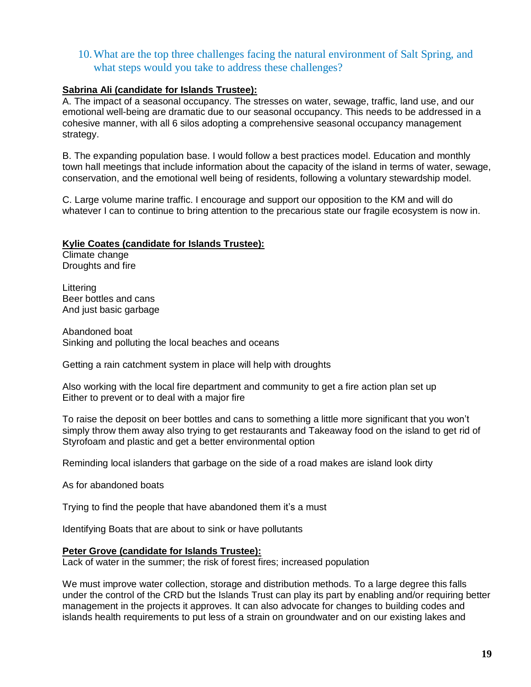# <span id="page-18-0"></span>10.What are the top three challenges facing the natural environment of Salt Spring, and what steps would you take to address these challenges?

# **Sabrina Ali (candidate for Islands Trustee):**

A. The impact of a seasonal occupancy. The stresses on water, sewage, traffic, land use, and our emotional well-being are dramatic due to our seasonal occupancy. This needs to be addressed in a cohesive manner, with all 6 silos adopting a comprehensive seasonal occupancy management strategy.

B. The expanding population base. I would follow a best practices model. Education and monthly town hall meetings that include information about the capacity of the island in terms of water, sewage, conservation, and the emotional well being of residents, following a voluntary stewardship model.

C. Large volume marine traffic. I encourage and support our opposition to the KM and will do whatever I can to continue to bring attention to the precarious state our fragile ecosystem is now in.

### **Kylie Coates (candidate for Islands Trustee):**

Climate change Droughts and fire

Littering Beer bottles and cans And just basic garbage

Abandoned boat Sinking and polluting the local beaches and oceans

Getting a rain catchment system in place will help with droughts

Also working with the local fire department and community to get a fire action plan set up Either to prevent or to deal with a major fire

To raise the deposit on beer bottles and cans to something a little more significant that you won't simply throw them away also trying to get restaurants and Takeaway food on the island to get rid of Styrofoam and plastic and get a better environmental option

Reminding local islanders that garbage on the side of a road makes are island look dirty

As for abandoned boats

Trying to find the people that have abandoned them it's a must

Identifying Boats that are about to sink or have pollutants

#### **Peter Grove (candidate for Islands Trustee):**

Lack of water in the summer; the risk of forest fires; increased population

We must improve water collection, storage and distribution methods. To a large degree this falls under the control of the CRD but the Islands Trust can play its part by enabling and/or requiring better management in the projects it approves. It can also advocate for changes to building codes and islands health requirements to put less of a strain on groundwater and on our existing lakes and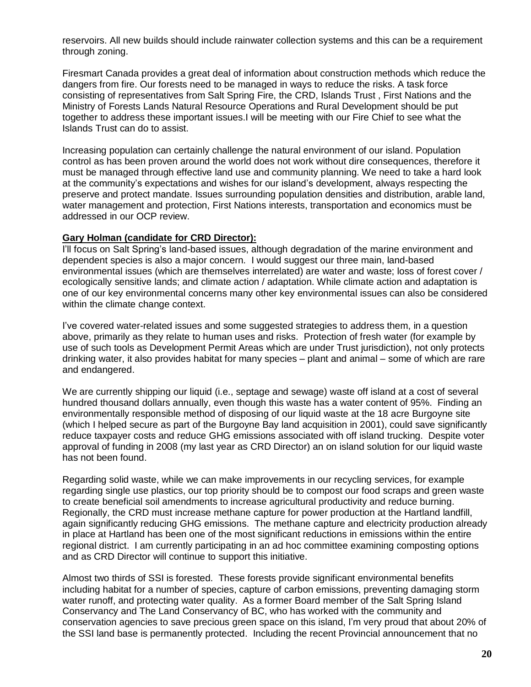reservoirs. All new builds should include rainwater collection systems and this can be a requirement through zoning.

Firesmart Canada provides a great deal of information about construction methods which reduce the dangers from fire. Our forests need to be managed in ways to reduce the risks. A task force consisting of representatives from Salt Spring Fire, the CRD, Islands Trust , First Nations and the Ministry of Forests Lands Natural Resource Operations and Rural Development should be put together to address these important issues.I will be meeting with our Fire Chief to see what the Islands Trust can do to assist.

Increasing population can certainly challenge the natural environment of our island. Population control as has been proven around the world does not work without dire consequences, therefore it must be managed through effective land use and community planning. We need to take a hard look at the community's expectations and wishes for our island's development, always respecting the preserve and protect mandate. Issues surrounding population densities and distribution, arable land, water management and protection, First Nations interests, transportation and economics must be addressed in our OCP review.

#### **Gary Holman (candidate for CRD Director):**

I'll focus on Salt Spring's land-based issues, although degradation of the marine environment and dependent species is also a major concern. I would suggest our three main, land-based environmental issues (which are themselves interrelated) are water and waste; loss of forest cover / ecologically sensitive lands; and climate action / adaptation. While climate action and adaptation is one of our key environmental concerns many other key environmental issues can also be considered within the climate change context.

I've covered water-related issues and some suggested strategies to address them, in a question above, primarily as they relate to human uses and risks. Protection of fresh water (for example by use of such tools as Development Permit Areas which are under Trust jurisdiction), not only protects drinking water, it also provides habitat for many species – plant and animal – some of which are rare and endangered.

We are currently shipping our liquid (i.e., septage and sewage) waste off island at a cost of several hundred thousand dollars annually, even though this waste has a water content of 95%. Finding an environmentally responsible method of disposing of our liquid waste at the 18 acre Burgoyne site (which I helped secure as part of the Burgoyne Bay land acquisition in 2001), could save significantly reduce taxpayer costs and reduce GHG emissions associated with off island trucking. Despite voter approval of funding in 2008 (my last year as CRD Director) an on island solution for our liquid waste has not been found.

Regarding solid waste, while we can make improvements in our recycling services, for example regarding single use plastics, our top priority should be to compost our food scraps and green waste to create beneficial soil amendments to increase agricultural productivity and reduce burning. Regionally, the CRD must increase methane capture for power production at the Hartland landfill, again significantly reducing GHG emissions. The methane capture and electricity production already in place at Hartland has been one of the most significant reductions in emissions within the entire regional district. I am currently participating in an ad hoc committee examining composting options and as CRD Director will continue to support this initiative.

Almost two thirds of SSI is forested. These forests provide significant environmental benefits including habitat for a number of species, capture of carbon emissions, preventing damaging storm water runoff, and protecting water quality. As a former Board member of the Salt Spring Island Conservancy and The Land Conservancy of BC, who has worked with the community and conservation agencies to save precious green space on this island, I'm very proud that about 20% of the SSI land base is permanently protected. Including the recent Provincial announcement that no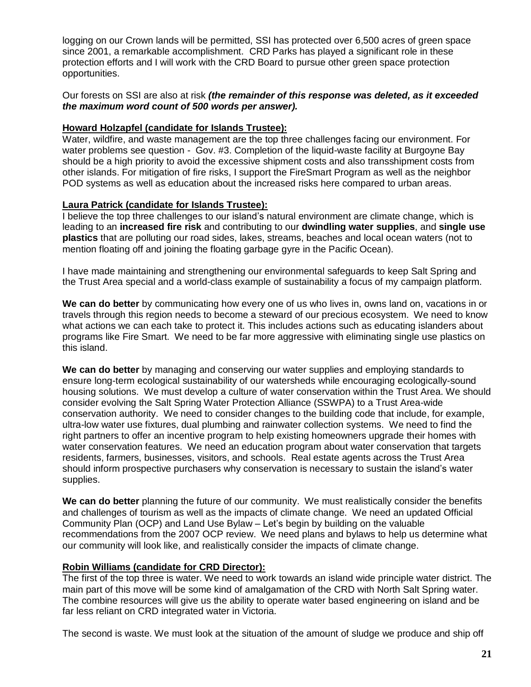logging on our Crown lands will be permitted, SSI has protected over 6,500 acres of green space since 2001, a remarkable accomplishment. CRD Parks has played a significant role in these protection efforts and I will work with the CRD Board to pursue other green space protection opportunities.

Our forests on SSI are also at risk *(the remainder of this response was deleted, as it exceeded the maximum word count of 500 words per answer).*

# **Howard Holzapfel (candidate for Islands Trustee):**

Water, wildfire, and waste management are the top three challenges facing our environment. For water problems see question - Gov. #3. Completion of the liquid-waste facility at Burgoyne Bay should be a high priority to avoid the excessive shipment costs and also transshipment costs from other islands. For mitigation of fire risks, I support the FireSmart Program as well as the neighbor POD systems as well as education about the increased risks here compared to urban areas.

#### **Laura Patrick (candidate for Islands Trustee):**

I believe the top three challenges to our island's natural environment are climate change, which is leading to an **increased fire risk** and contributing to our **dwindling water supplies**, and **single use plastics** that are polluting our road sides, lakes, streams, beaches and local ocean waters (not to mention floating off and joining the floating garbage gyre in the Pacific Ocean).

I have made maintaining and strengthening our environmental safeguards to keep Salt Spring and the Trust Area special and a world-class example of sustainability a focus of my campaign platform.

**We can do better** by communicating how every one of us who lives in, owns land on, vacations in or travels through this region needs to become a steward of our precious ecosystem. We need to know what actions we can each take to protect it. This includes actions such as educating islanders about programs like Fire Smart. We need to be far more aggressive with eliminating single use plastics on this island.

**We can do better** by managing and conserving our water supplies and employing standards to ensure long-term ecological sustainability of our watersheds while encouraging ecologically-sound housing solutions. We must develop a culture of water conservation within the Trust Area. We should consider evolving the Salt Spring Water Protection Alliance (SSWPA) to a Trust Area-wide conservation authority. We need to consider changes to the building code that include, for example, ultra-low water use fixtures, dual plumbing and rainwater collection systems. We need to find the right partners to offer an incentive program to help existing homeowners upgrade their homes with water conservation features. We need an education program about water conservation that targets residents, farmers, businesses, visitors, and schools. Real estate agents across the Trust Area should inform prospective purchasers why conservation is necessary to sustain the island's water supplies.

**We can do better** planning the future of our community. We must realistically consider the benefits and challenges of tourism as well as the impacts of climate change. We need an updated Official Community Plan (OCP) and Land Use Bylaw – Let's begin by building on the valuable recommendations from the 2007 OCP review. We need plans and bylaws to help us determine what our community will look like, and realistically consider the impacts of climate change.

# **Robin Williams (candidate for CRD Director):**

The first of the top three is water. We need to work towards an island wide principle water district. The main part of this move will be some kind of amalgamation of the CRD with North Salt Spring water. The combine resources will give us the ability to operate water based engineering on island and be far less reliant on CRD integrated water in Victoria.

The second is waste. We must look at the situation of the amount of sludge we produce and ship off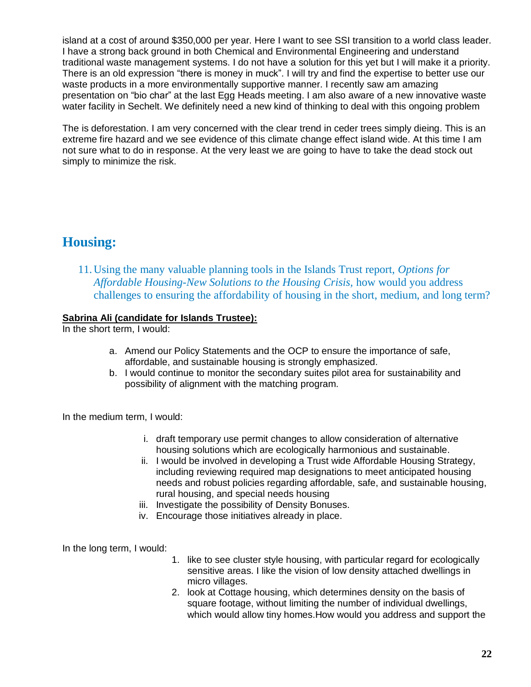island at a cost of around \$350,000 per year. Here I want to see SSI transition to a world class leader. I have a strong back ground in both Chemical and Environmental Engineering and understand traditional waste management systems. I do not have a solution for this yet but I will make it a priority. There is an old expression "there is money in muck". I will try and find the expertise to better use our waste products in a more environmentally supportive manner. I recently saw am amazing presentation on "bio char" at the last Egg Heads meeting. I am also aware of a new innovative waste water facility in Sechelt. We definitely need a new kind of thinking to deal with this ongoing problem

The is deforestation. I am very concerned with the clear trend in ceder trees simply dieing. This is an extreme fire hazard and we see evidence of this climate change effect island wide. At this time I am not sure what to do in response. At the very least we are going to have to take the dead stock out simply to minimize the risk.

# <span id="page-21-0"></span>**Housing:**

<span id="page-21-1"></span>11.Using the many valuable planning tools in the Islands Trust report, *Options for Affordable Housing-New Solutions to the Housing Crisis,* how would you address challenges to ensuring the affordability of housing in the short, medium, and long term?

# **Sabrina Ali (candidate for Islands Trustee):**

In the short term, I would:

- a. Amend our Policy Statements and the OCP to ensure the importance of safe, affordable, and sustainable housing is strongly emphasized.
- b. I would continue to monitor the secondary suites pilot area for sustainability and possibility of alignment with the matching program.

In the medium term, I would:

- i. draft temporary use permit changes to allow consideration of alternative housing solutions which are ecologically harmonious and sustainable.
- ii. I would be involved in developing a Trust wide Affordable Housing Strategy, including reviewing required map designations to meet anticipated housing needs and robust policies regarding affordable, safe, and sustainable housing, rural housing, and special needs housing
- iii. Investigate the possibility of Density Bonuses.
- iv. Encourage those initiatives already in place.

In the long term, I would:

- 1. like to see cluster style housing, with particular regard for ecologically sensitive areas. I like the vision of low density attached dwellings in micro villages.
- 2. look at Cottage housing, which determines density on the basis of square footage, without limiting the number of individual dwellings, which would allow tiny homes.How would you address and support the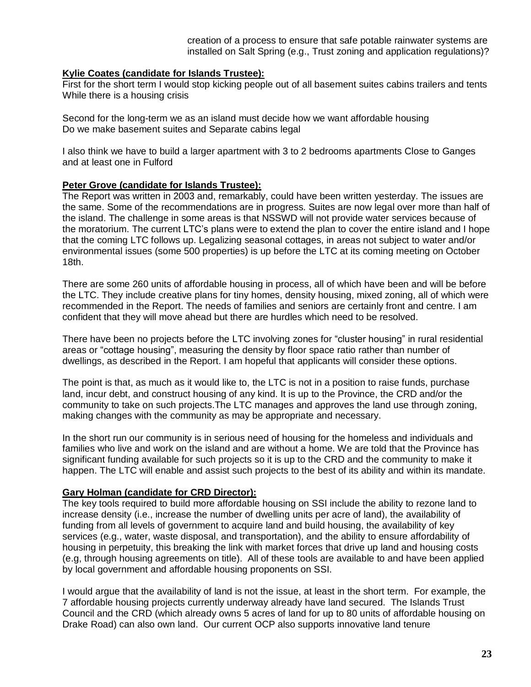creation of a process to ensure that safe potable rainwater systems are installed on Salt Spring (e.g., Trust zoning and application regulations)?

#### **Kylie Coates (candidate for Islands Trustee):**

First for the short term I would stop kicking people out of all basement suites cabins trailers and tents While there is a housing crisis

Second for the long-term we as an island must decide how we want affordable housing Do we make basement suites and Separate cabins legal

I also think we have to build a larger apartment with 3 to 2 bedrooms apartments Close to Ganges and at least one in Fulford

#### **Peter Grove (candidate for Islands Trustee):**

The Report was written in 2003 and, remarkably, could have been written yesterday. The issues are the same. Some of the recommendations are in progress. Suites are now legal over more than half of the island. The challenge in some areas is that NSSWD will not provide water services because of the moratorium. The current LTC's plans were to extend the plan to cover the entire island and I hope that the coming LTC follows up. Legalizing seasonal cottages, in areas not subject to water and/or environmental issues (some 500 properties) is up before the LTC at its coming meeting on October 18th.

There are some 260 units of affordable housing in process, all of which have been and will be before the LTC. They include creative plans for tiny homes, density housing, mixed zoning, all of which were recommended in the Report. The needs of families and seniors are certainly front and centre. I am confident that they will move ahead but there are hurdles which need to be resolved.

There have been no projects before the LTC involving zones for "cluster housing" in rural residential areas or "cottage housing", measuring the density by floor space ratio rather than number of dwellings, as described in the Report. I am hopeful that applicants will consider these options.

The point is that, as much as it would like to, the LTC is not in a position to raise funds, purchase land, incur debt, and construct housing of any kind. It is up to the Province, the CRD and/or the community to take on such projects.The LTC manages and approves the land use through zoning, making changes with the community as may be appropriate and necessary.

In the short run our community is in serious need of housing for the homeless and individuals and families who live and work on the island and are without a home. We are told that the Province has significant funding available for such projects so it is up to the CRD and the community to make it happen. The LTC will enable and assist such projects to the best of its ability and within its mandate.

#### **Gary Holman (candidate for CRD Director):**

The key tools required to build more affordable housing on SSI include the ability to rezone land to increase density (i.e., increase the number of dwelling units per acre of land), the availability of funding from all levels of government to acquire land and build housing, the availability of key services (e.g., water, waste disposal, and transportation), and the ability to ensure affordability of housing in perpetuity, this breaking the link with market forces that drive up land and housing costs (e.g, through housing agreements on title). All of these tools are available to and have been applied by local government and affordable housing proponents on SSI.

I would argue that the availability of land is not the issue, at least in the short term. For example, the 7 affordable housing projects currently underway already have land secured. The Islands Trust Council and the CRD (which already owns 5 acres of land for up to 80 units of affordable housing on Drake Road) can also own land. Our current OCP also supports innovative land tenure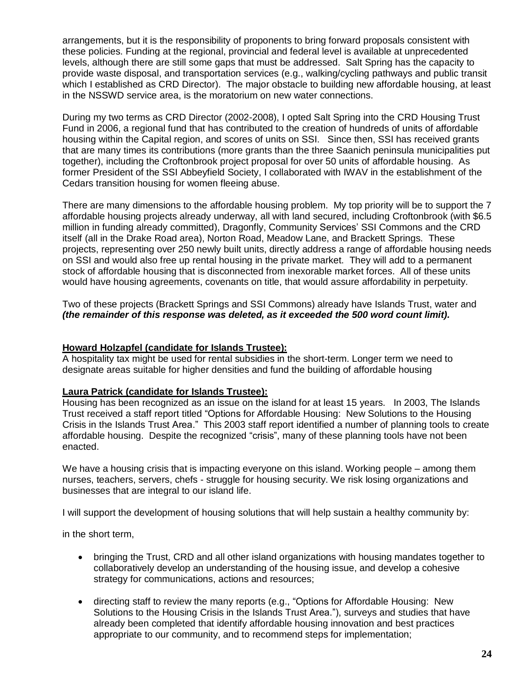arrangements, but it is the responsibility of proponents to bring forward proposals consistent with these policies. Funding at the regional, provincial and federal level is available at unprecedented levels, although there are still some gaps that must be addressed. Salt Spring has the capacity to provide waste disposal, and transportation services (e.g., walking/cycling pathways and public transit which I established as CRD Director). The major obstacle to building new affordable housing, at least in the NSSWD service area, is the moratorium on new water connections.

During my two terms as CRD Director (2002-2008), I opted Salt Spring into the CRD Housing Trust Fund in 2006, a regional fund that has contributed to the creation of hundreds of units of affordable housing within the Capital region, and scores of units on SSI. Since then, SSI has received grants that are many times its contributions (more grants than the three Saanich peninsula municipalities put together), including the Croftonbrook project proposal for over 50 units of affordable housing. As former President of the SSI Abbeyfield Society, I collaborated with IWAV in the establishment of the Cedars transition housing for women fleeing abuse.

There are many dimensions to the affordable housing problem. My top priority will be to support the 7 affordable housing projects already underway, all with land secured, including Croftonbrook (with \$6.5 million in funding already committed), Dragonfly, Community Services' SSI Commons and the CRD itself (all in the Drake Road area), Norton Road, Meadow Lane, and Brackett Springs. These projects, representing over 250 newly built units, directly address a range of affordable housing needs on SSI and would also free up rental housing in the private market. They will add to a permanent stock of affordable housing that is disconnected from inexorable market forces. All of these units would have housing agreements, covenants on title, that would assure affordability in perpetuity.

Two of these projects (Brackett Springs and SSI Commons) already have Islands Trust, water and *(the remainder of this response was deleted, as it exceeded the 500 word count limit).*

# **Howard Holzapfel (candidate for Islands Trustee):**

A hospitality tax might be used for rental subsidies in the short-term. Longer term we need to designate areas suitable for higher densities and fund the building of affordable housing

#### **Laura Patrick (candidate for Islands Trustee):**

Housing has been recognized as an issue on the island for at least 15 years. In 2003, The Islands Trust received a staff report titled "Options for Affordable Housing: New Solutions to the Housing Crisis in the Islands Trust Area." This 2003 staff report identified a number of planning tools to create affordable housing. Despite the recognized "crisis", many of these planning tools have not been enacted.

We have a housing crisis that is impacting everyone on this island. Working people – among them nurses, teachers, servers, chefs - struggle for housing security. We risk losing organizations and businesses that are integral to our island life.

I will support the development of housing solutions that will help sustain a healthy community by:

in the short term,

- bringing the Trust, CRD and all other island organizations with housing mandates together to collaboratively develop an understanding of the housing issue, and develop a cohesive strategy for communications, actions and resources;
- directing staff to review the many reports (e.g., "Options for Affordable Housing: New Solutions to the Housing Crisis in the Islands Trust Area."), surveys and studies that have already been completed that identify affordable housing innovation and best practices appropriate to our community, and to recommend steps for implementation;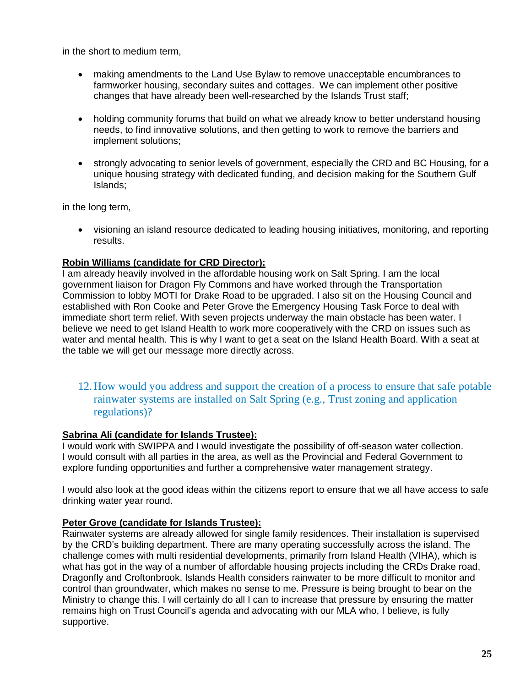in the short to medium term,

- making amendments to the Land Use Bylaw to remove unacceptable encumbrances to farmworker housing, secondary suites and cottages. We can implement other positive changes that have already been well-researched by the Islands Trust staff;
- holding community forums that build on what we already know to better understand housing needs, to find innovative solutions, and then getting to work to remove the barriers and implement solutions;
- strongly advocating to senior levels of government, especially the CRD and BC Housing, for a unique housing strategy with dedicated funding, and decision making for the Southern Gulf Islands;

in the long term,

 visioning an island resource dedicated to leading housing initiatives, monitoring, and reporting results.

# **Robin Williams (candidate for CRD Director):**

I am already heavily involved in the affordable housing work on Salt Spring. I am the local government liaison for Dragon Fly Commons and have worked through the Transportation Commission to lobby MOTI for Drake Road to be upgraded. I also sit on the Housing Council and established with Ron Cooke and Peter Grove the Emergency Housing Task Force to deal with immediate short term relief. With seven projects underway the main obstacle has been water. I believe we need to get Island Health to work more cooperatively with the CRD on issues such as water and mental health. This is why I want to get a seat on the Island Health Board. With a seat at the table we will get our message more directly across.

<span id="page-24-0"></span>12.How would you address and support the creation of a process to ensure that safe potable rainwater systems are installed on Salt Spring (e.g., Trust zoning and application regulations)?

#### **Sabrina Ali (candidate for Islands Trustee):**

I would work with SWIPPA and I would investigate the possibility of off-season water collection. I would consult with all parties in the area, as well as the Provincial and Federal Government to explore funding opportunities and further a comprehensive water management strategy.

I would also look at the good ideas within the citizens report to ensure that we all have access to safe drinking water year round.

# **Peter Grove (candidate for Islands Trustee):**

Rainwater systems are already allowed for single family residences. Their installation is supervised by the CRD's building department. There are many operating successfully across the island. The challenge comes with multi residential developments, primarily from Island Health (VIHA), which is what has got in the way of a number of affordable housing projects including the CRDs Drake road, Dragonfly and Croftonbrook. Islands Health considers rainwater to be more difficult to monitor and control than groundwater, which makes no sense to me. Pressure is being brought to bear on the Ministry to change this. I will certainly do all I can to increase that pressure by ensuring the matter remains high on Trust Council's agenda and advocating with our MLA who, I believe, is fully supportive.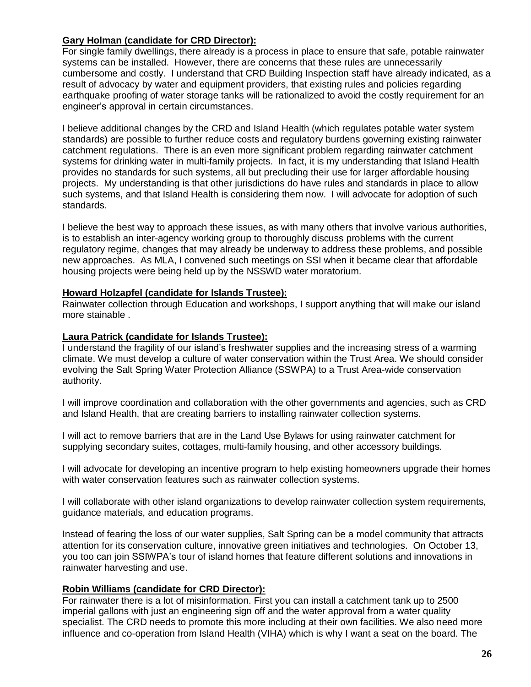# **Gary Holman (candidate for CRD Director):**

For single family dwellings, there already is a process in place to ensure that safe, potable rainwater systems can be installed. However, there are concerns that these rules are unnecessarily cumbersome and costly. I understand that CRD Building Inspection staff have already indicated, as a result of advocacy by water and equipment providers, that existing rules and policies regarding earthquake proofing of water storage tanks will be rationalized to avoid the costly requirement for an engineer's approval in certain circumstances.

I believe additional changes by the CRD and Island Health (which regulates potable water system standards) are possible to further reduce costs and regulatory burdens governing existing rainwater catchment regulations. There is an even more significant problem regarding rainwater catchment systems for drinking water in multi-family projects. In fact, it is my understanding that Island Health provides no standards for such systems, all but precluding their use for larger affordable housing projects. My understanding is that other jurisdictions do have rules and standards in place to allow such systems, and that Island Health is considering them now. I will advocate for adoption of such standards.

I believe the best way to approach these issues, as with many others that involve various authorities, is to establish an inter-agency working group to thoroughly discuss problems with the current regulatory regime, changes that may already be underway to address these problems, and possible new approaches. As MLA, I convened such meetings on SSI when it became clear that affordable housing projects were being held up by the NSSWD water moratorium.

# **Howard Holzapfel (candidate for Islands Trustee):**

Rainwater collection through Education and workshops, I support anything that will make our island more stainable .

### **Laura Patrick (candidate for Islands Trustee):**

I understand the fragility of our island's freshwater supplies and the increasing stress of a warming climate. We must develop a culture of water conservation within the Trust Area. We should consider evolving the Salt Spring Water Protection Alliance (SSWPA) to a Trust Area-wide conservation authority.

I will improve coordination and collaboration with the other governments and agencies, such as CRD and Island Health, that are creating barriers to installing rainwater collection systems.

I will act to remove barriers that are in the Land Use Bylaws for using rainwater catchment for supplying secondary suites, cottages, multi-family housing, and other accessory buildings.

I will advocate for developing an incentive program to help existing homeowners upgrade their homes with water conservation features such as rainwater collection systems.

I will collaborate with other island organizations to develop rainwater collection system requirements, guidance materials, and education programs.

Instead of fearing the loss of our water supplies, Salt Spring can be a model community that attracts attention for its conservation culture, innovative green initiatives and technologies. On October 13, you too can join SSIWPA's tour of island homes that feature different solutions and innovations in rainwater harvesting and use.

# **Robin Williams (candidate for CRD Director):**

For rainwater there is a lot of misinformation. First you can install a catchment tank up to 2500 imperial gallons with just an engineering sign off and the water approval from a water quality specialist. The CRD needs to promote this more including at their own facilities. We also need more influence and co-operation from Island Health (VIHA) which is why I want a seat on the board. The